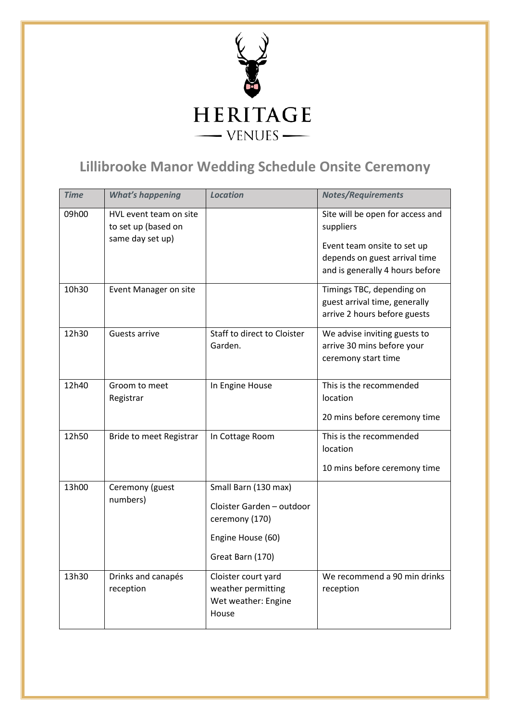

## **Lillibrooke Manor Wedding Schedule Onsite Ceremony**

| <b>Time</b> | <b>What's happening</b>                                           | <b>Location</b>                                                                                              | <b>Notes/Requirements</b>                                                                                                                        |
|-------------|-------------------------------------------------------------------|--------------------------------------------------------------------------------------------------------------|--------------------------------------------------------------------------------------------------------------------------------------------------|
| 09h00       | HVL event team on site<br>to set up (based on<br>same day set up) |                                                                                                              | Site will be open for access and<br>suppliers<br>Event team onsite to set up<br>depends on guest arrival time<br>and is generally 4 hours before |
| 10h30       | Event Manager on site                                             |                                                                                                              | Timings TBC, depending on<br>guest arrival time, generally<br>arrive 2 hours before guests                                                       |
| 12h30       | Guests arrive                                                     | Staff to direct to Cloister<br>Garden.                                                                       | We advise inviting guests to<br>arrive 30 mins before your<br>ceremony start time                                                                |
| 12h40       | Groom to meet<br>Registrar                                        | In Engine House                                                                                              | This is the recommended<br>location<br>20 mins before ceremony time                                                                              |
| 12h50       | Bride to meet Registrar                                           | In Cottage Room                                                                                              | This is the recommended<br>location<br>10 mins before ceremony time                                                                              |
| 13h00       | Ceremony (guest<br>numbers)                                       | Small Barn (130 max)<br>Cloister Garden - outdoor<br>ceremony (170)<br>Engine House (60)<br>Great Barn (170) |                                                                                                                                                  |
| 13h30       | Drinks and canapés<br>reception                                   | Cloister court yard<br>weather permitting<br>Wet weather: Engine<br>House                                    | We recommend a 90 min drinks<br>reception                                                                                                        |